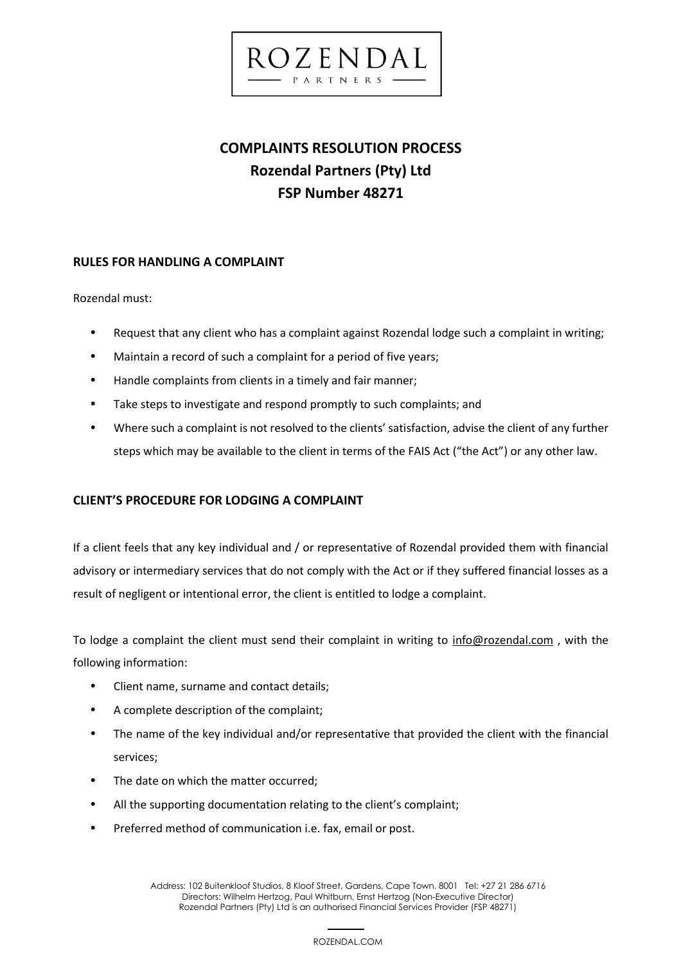

# **COMPLAINTS RESOLUTION PROCESS Rozendal Partners (Pty) Ltd FSP Number 48271**

## **RULES FOR HANDLING A COMPLAINT**

Rozendal must:

- Request that any client who has a complaint against Rozendal lodge such a complaint in writing;
- Maintain a record of such a complaint for a period of five years;
- Handle complaints from clients in a timely and fair manner;
- Take steps to investigate and respond promptly to such complaints; and
- Where such a complaint is not resolved to the clients' satisfaction, advise the client of any further steps which may be available to the client in terms of the FAIS Act ("the Act") or any other law.

# **CLIENT'S PROCEDURE FOR LODGING A COMPLAINT**

If a client feels that any key individual and / or representative of Rozendal provided them with financial advisory or intermediary services that do not comply with the Act or if they suffered financial losses as a result of negligent or intentional error, the client is entitled to lodge a complaint.

To lodge a complaint the client must send their complaint in writing to [info@rozendal.com](mailto:info@rozendal.com) , with the following information:

- Client name, surname and contact details;
- A complete description of the complaint;
- The name of the key individual and/or representative that provided the client with the financial services;
- The date on which the matter occurred;
- All the supporting documentation relating to the client's complaint;
- Preferred method of communication i.e. fax, email or post.

 1 Address: 102 Buitenkloof Studios, 8 Kloof Street, Gardens, Cape Town, 8001 Tel: +27 21 286 6716 Directors: Wilhelm Hertzog, Paul Whitburn, Ernst Hertzog (Non-Executive Director) Rozendal Partners (Pty) Ltd is an authorised Financial Services Provider (FSP 48271)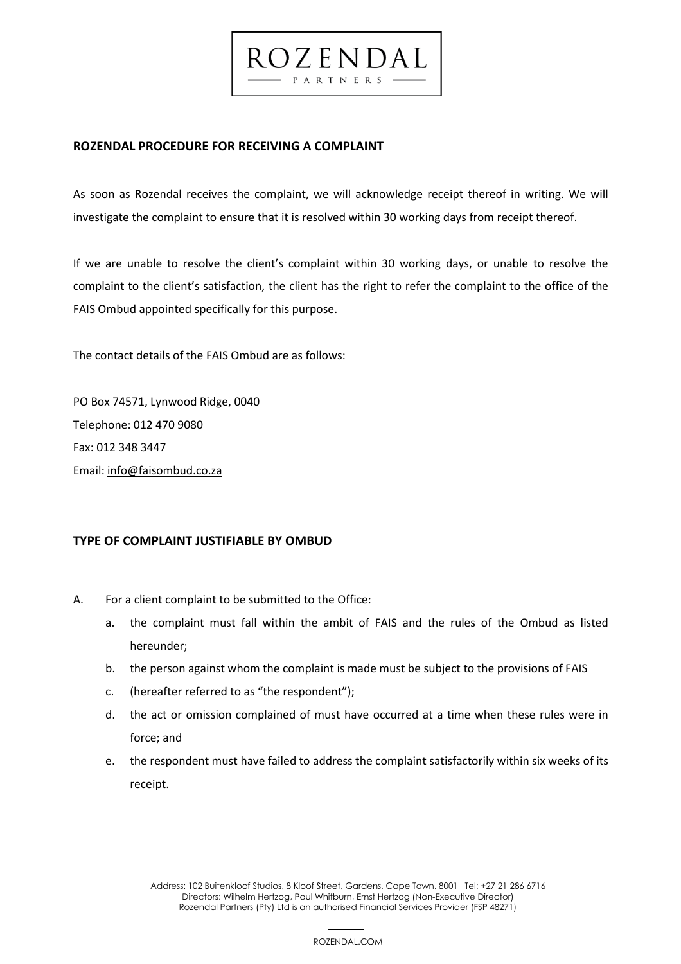## **ROZENDAL PROCEDURE FOR RECEIVING A COMPLAINT**

As soon as Rozendal receives the complaint, we will acknowledge receipt thereof in writing. We will investigate the complaint to ensure that it is resolved within 30 working days from receipt thereof.

 $CZENDA$ PARTNERS

If we are unable to resolve the client's complaint within 30 working days, or unable to resolve the complaint to the client's satisfaction, the client has the right to refer the complaint to the office of the FAIS Ombud appointed specifically for this purpose.

The contact details of the FAIS Ombud are as follows:

PO Box 74571, Lynwood Ridge, 0040 Telephone: 012 470 9080 Fax: 012 348 3447 Email[: info@faisombud.co.za](mailto:info@faisombud.co.za)

# **TYPE OF COMPLAINT JUSTIFIABLE BY OMBUD**

- A. For a client complaint to be submitted to the Office:
	- a. the complaint must fall within the ambit of FAIS and the rules of the Ombud as listed hereunder;
	- b. the person against whom the complaint is made must be subject to the provisions of FAIS
	- c. (hereafter referred to as "the respondent");
	- d. the act or omission complained of must have occurred at a time when these rules were in force; and
	- e. the respondent must have failed to address the complaint satisfactorily within six weeks of its receipt.

 2 Address: 102 Buitenkloof Studios, 8 Kloof Street, Gardens, Cape Town, 8001 Tel: +27 21 286 6716 Directors: Wilhelm Hertzog, Paul Whitburn, Ernst Hertzog (Non-Executive Director) Rozendal Partners (Pty) Ltd is an authorised Financial Services Provider (FSP 48271)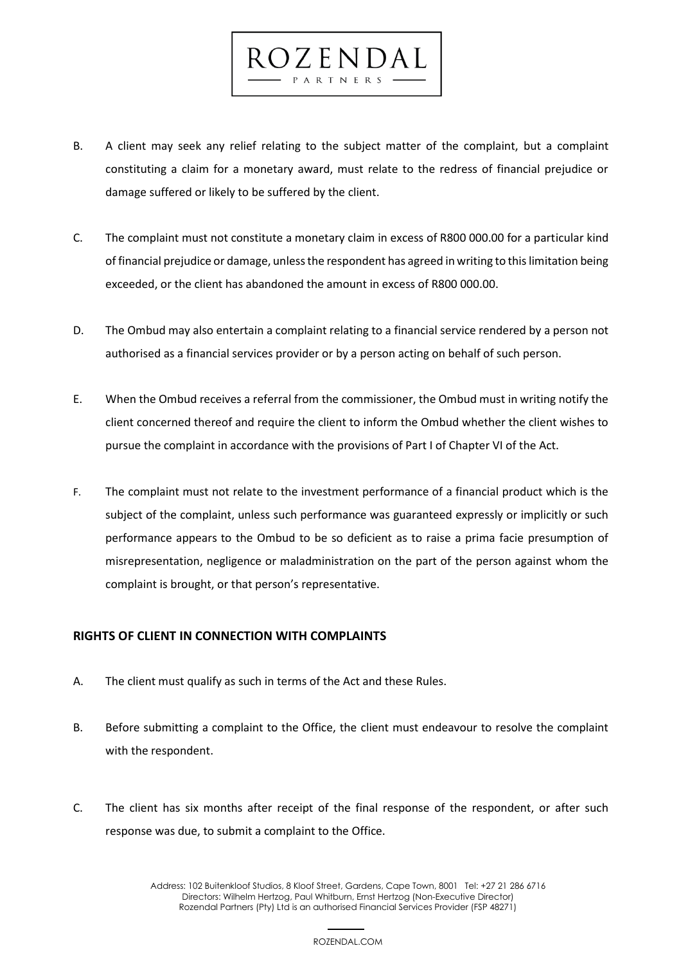

ROZENDAL

- C. The complaint must not constitute a monetary claim in excess of R800 000.00 for a particular kind of financial prejudice or damage, unless the respondent has agreed in writing to this limitation being exceeded, or the client has abandoned the amount in excess of R800 000.00.
- D. The Ombud may also entertain a complaint relating to a financial service rendered by a person not authorised as a financial services provider or by a person acting on behalf of such person.
- E. When the Ombud receives a referral from the commissioner, the Ombud must in writing notify the client concerned thereof and require the client to inform the Ombud whether the client wishes to pursue the complaint in accordance with the provisions of Part I of Chapter VI of the Act.
- F. The complaint must not relate to the investment performance of a financial product which is the subject of the complaint, unless such performance was guaranteed expressly or implicitly or such performance appears to the Ombud to be so deficient as to raise a prima facie presumption of misrepresentation, negligence or maladministration on the part of the person against whom the complaint is brought, or that person's representative.

# **RIGHTS OF CLIENT IN CONNECTION WITH COMPLAINTS**

- A. The client must qualify as such in terms of the Act and these Rules.
- B. Before submitting a complaint to the Office, the client must endeavour to resolve the complaint with the respondent.
- C. The client has six months after receipt of the final response of the respondent, or after such response was due, to submit a complaint to the Office.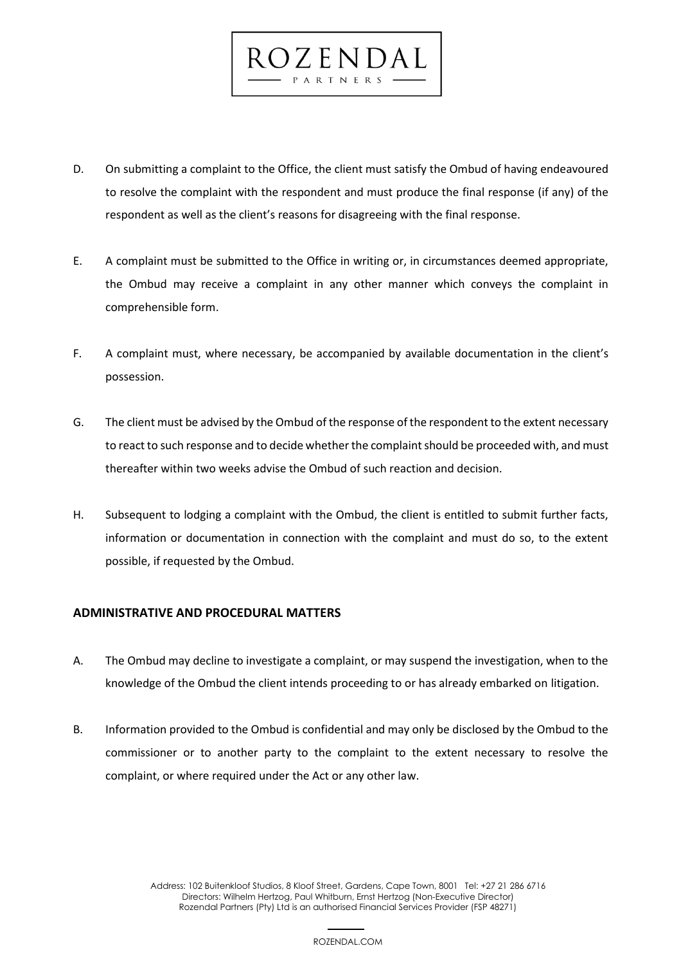

 $ROZENDA$ 

PARTNERS

- E. A complaint must be submitted to the Office in writing or, in circumstances deemed appropriate, the Ombud may receive a complaint in any other manner which conveys the complaint in comprehensible form.
- F. A complaint must, where necessary, be accompanied by available documentation in the client's possession.
- G. The client must be advised by the Ombud of the response of the respondent to the extent necessary to react to such response and to decide whether the complaint should be proceeded with, and must thereafter within two weeks advise the Ombud of such reaction and decision.
- H. Subsequent to lodging a complaint with the Ombud, the client is entitled to submit further facts, information or documentation in connection with the complaint and must do so, to the extent possible, if requested by the Ombud.

#### **ADMINISTRATIVE AND PROCEDURAL MATTERS**

- A. The Ombud may decline to investigate a complaint, or may suspend the investigation, when to the knowledge of the Ombud the client intends proceeding to or has already embarked on litigation.
- B. Information provided to the Ombud is confidential and may only be disclosed by the Ombud to the commissioner or to another party to the complaint to the extent necessary to resolve the complaint, or where required under the Act or any other law.

 4 Address: 102 Buitenkloof Studios, 8 Kloof Street, Gardens, Cape Town, 8001 Tel: +27 21 286 6716 Directors: Wilhelm Hertzog, Paul Whitburn, Ernst Hertzog (Non-Executive Director) Rozendal Partners (Pty) Ltd is an authorised Financial Services Provider (FSP 48271)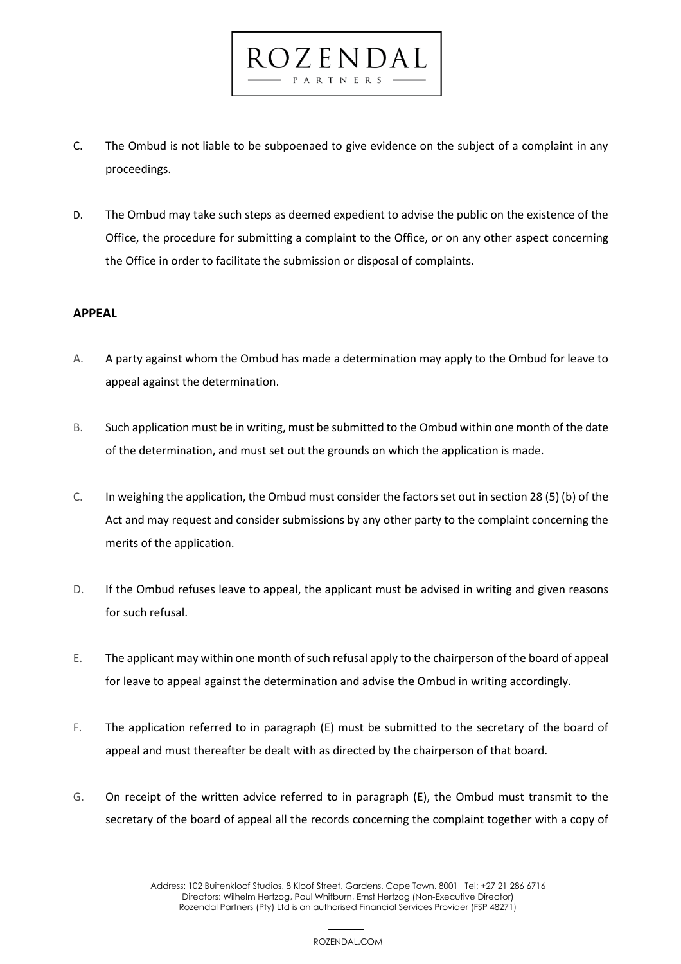C. The Ombud is not liable to be subpoenaed to give evidence on the subject of a complaint in any proceedings.

 $OZENDA$ 

D. The Ombud may take such steps as deemed expedient to advise the public on the existence of the Office, the procedure for submitting a complaint to the Office, or on any other aspect concerning the Office in order to facilitate the submission or disposal of complaints.

## **APPEAL**

- A. A party against whom the Ombud has made a determination may apply to the Ombud for leave to appeal against the determination.
- B. Such application must be in writing, must be submitted to the Ombud within one month of the date of the determination, and must set out the grounds on which the application is made.
- C. In weighing the application, the Ombud must consider the factors set out in section 28 (5) (b) of the Act and may request and consider submissions by any other party to the complaint concerning the merits of the application.
- D. If the Ombud refuses leave to appeal, the applicant must be advised in writing and given reasons for such refusal.
- E. The applicant may within one month of such refusal apply to the chairperson of the board of appeal for leave to appeal against the determination and advise the Ombud in writing accordingly.
- F. The application referred to in paragraph (E) must be submitted to the secretary of the board of appeal and must thereafter be dealt with as directed by the chairperson of that board.
- G. On receipt of the written advice referred to in paragraph (E), the Ombud must transmit to the secretary of the board of appeal all the records concerning the complaint together with a copy of